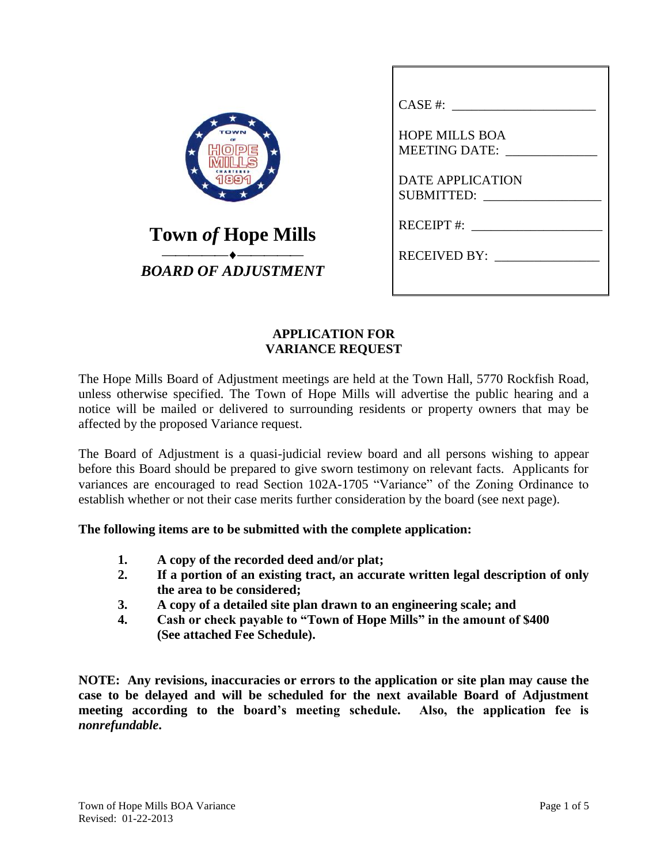| <b>Town of Hope Mills</b> |  |
|---------------------------|--|
| BOARD OF ADJUSTMENT       |  |

| CASE #:                                       |
|-----------------------------------------------|
| <b>HOPE MILLS BOA</b><br><b>MEETING DATE:</b> |
| <b>DATE APPLICATION</b><br><b>SUBMITTED:</b>  |
| $RECEIPT$ #:                                  |
| RECEIVED BY:                                  |
|                                               |

### **APPLICATION FOR VARIANCE REQUEST**

The Hope Mills Board of Adjustment meetings are held at the Town Hall, 5770 Rockfish Road, unless otherwise specified. The Town of Hope Mills will advertise the public hearing and a notice will be mailed or delivered to surrounding residents or property owners that may be affected by the proposed Variance request.

The Board of Adjustment is a quasi-judicial review board and all persons wishing to appear before this Board should be prepared to give sworn testimony on relevant facts. Applicants for variances are encouraged to read Section 102A-1705 "Variance" of the Zoning Ordinance to establish whether or not their case merits further consideration by the board (see next page).

#### **The following items are to be submitted with the complete application:**

- **1. A copy of the recorded deed and/or plat;**
- **2. If a portion of an existing tract, an accurate written legal description of only the area to be considered;**
- **3. A copy of a detailed site plan drawn to an engineering scale; and**
- **4. Cash or check payable to "Town of Hope Mills" in the amount of \$400 (See attached Fee Schedule).**

**NOTE: Any revisions, inaccuracies or errors to the application or site plan may cause the case to be delayed and will be scheduled for the next available Board of Adjustment meeting according to the board's meeting schedule. Also, the application fee is**  *nonrefundable***.**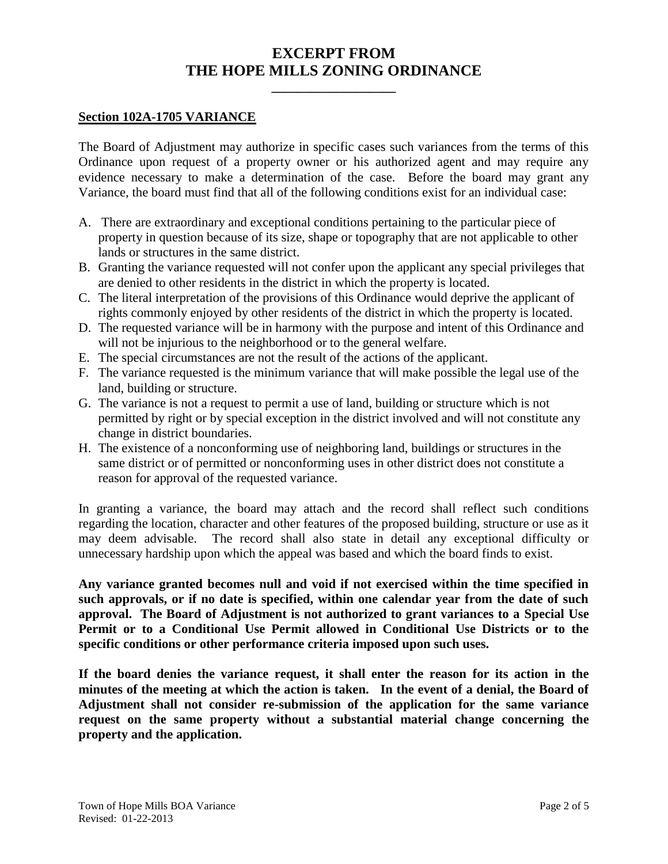## **EXCERPT FROM THE HOPE MILLS ZONING ORDINANCE**

**\_\_\_\_\_\_\_\_\_\_\_\_\_\_\_\_\_\_\_**

#### **Section 102A-1705 VARIANCE**

The Board of Adjustment may authorize in specific cases such variances from the terms of this Ordinance upon request of a property owner or his authorized agent and may require any evidence necessary to make a determination of the case. Before the board may grant any Variance, the board must find that all of the following conditions exist for an individual case:

- A. There are extraordinary and exceptional conditions pertaining to the particular piece of property in question because of its size, shape or topography that are not applicable to other lands or structures in the same district.
- B. Granting the variance requested will not confer upon the applicant any special privileges that are denied to other residents in the district in which the property is located.
- C. The literal interpretation of the provisions of this Ordinance would deprive the applicant of rights commonly enjoyed by other residents of the district in which the property is located.
- D. The requested variance will be in harmony with the purpose and intent of this Ordinance and will not be injurious to the neighborhood or to the general welfare.
- E. The special circumstances are not the result of the actions of the applicant.
- F. The variance requested is the minimum variance that will make possible the legal use of the land, building or structure.
- G. The variance is not a request to permit a use of land, building or structure which is not permitted by right or by special exception in the district involved and will not constitute any change in district boundaries.
- H. The existence of a nonconforming use of neighboring land, buildings or structures in the same district or of permitted or nonconforming uses in other district does not constitute a reason for approval of the requested variance.

In granting a variance, the board may attach and the record shall reflect such conditions regarding the location, character and other features of the proposed building, structure or use as it may deem advisable. The record shall also state in detail any exceptional difficulty or unnecessary hardship upon which the appeal was based and which the board finds to exist.

**Any variance granted becomes null and void if not exercised within the time specified in such approvals, or if no date is specified, within one calendar year from the date of such approval. The Board of Adjustment is not authorized to grant variances to a Special Use Permit or to a Conditional Use Permit allowed in Conditional Use Districts or to the specific conditions or other performance criteria imposed upon such uses.** 

**If the board denies the variance request, it shall enter the reason for its action in the minutes of the meeting at which the action is taken. In the event of a denial, the Board of Adjustment shall not consider re-submission of the application for the same variance request on the same property without a substantial material change concerning the property and the application.**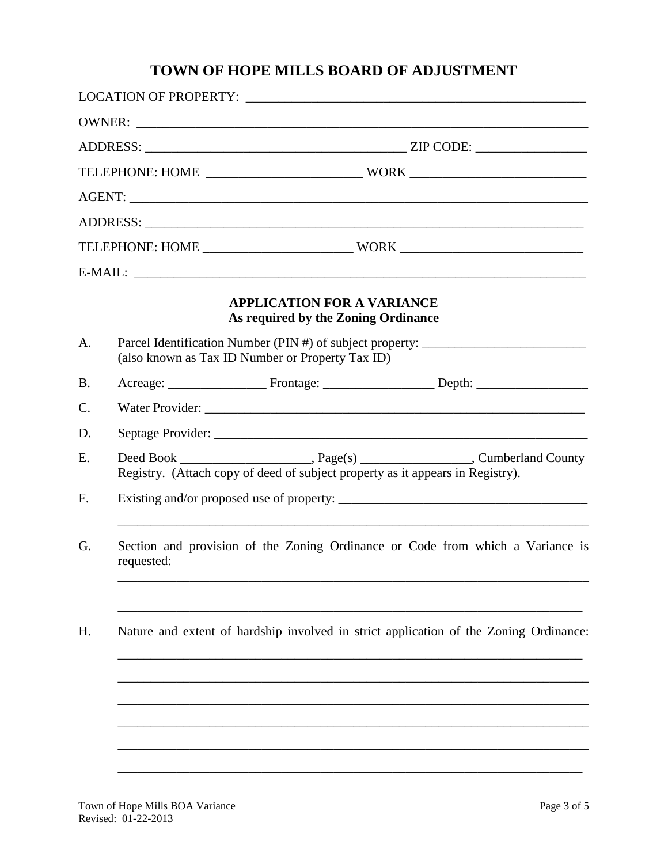# **TOWN OF HOPE MILLS BOARD OF ADJUSTMENT**

|                 |                                                                                                                                      |                                                                                | $E-MAIL:$                                                                             |
|-----------------|--------------------------------------------------------------------------------------------------------------------------------------|--------------------------------------------------------------------------------|---------------------------------------------------------------------------------------|
|                 |                                                                                                                                      | <b>APPLICATION FOR A VARIANCE</b><br>As required by the Zoning Ordinance       |                                                                                       |
| A.              | Parcel Identification Number (PIN #) of subject property: ______________________<br>(also known as Tax ID Number or Property Tax ID) |                                                                                |                                                                                       |
| <b>B.</b>       |                                                                                                                                      |                                                                                |                                                                                       |
| $\mathcal{C}$ . |                                                                                                                                      |                                                                                | Water Provider:                                                                       |
| D.              |                                                                                                                                      |                                                                                |                                                                                       |
| E.              |                                                                                                                                      | Registry. (Attach copy of deed of subject property as it appears in Registry). |                                                                                       |
| F.              |                                                                                                                                      |                                                                                |                                                                                       |
| G.              | Section and provision of the Zoning Ordinance or Code from which a Variance is<br>requested:                                         |                                                                                |                                                                                       |
| H.              |                                                                                                                                      |                                                                                | Nature and extent of hardship involved in strict application of the Zoning Ordinance: |
|                 |                                                                                                                                      |                                                                                |                                                                                       |
|                 |                                                                                                                                      |                                                                                |                                                                                       |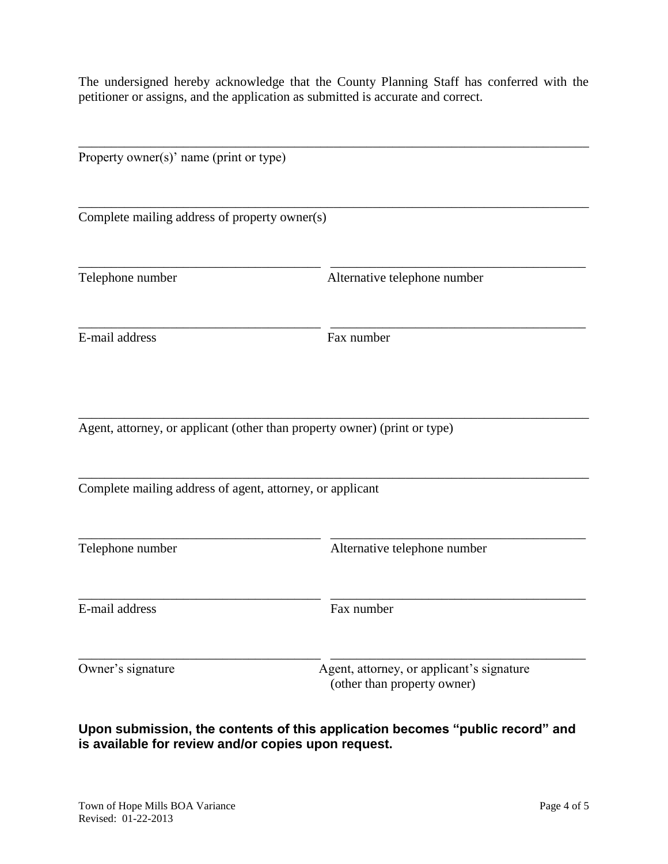The undersigned hereby acknowledge that the County Planning Staff has conferred with the petitioner or assigns, and the application as submitted is accurate and correct.

| Property owner(s)' name (print or type)                   |                                                                           |  |  |  |
|-----------------------------------------------------------|---------------------------------------------------------------------------|--|--|--|
| Complete mailing address of property owner(s)             |                                                                           |  |  |  |
| Telephone number                                          | Alternative telephone number                                              |  |  |  |
| E-mail address                                            | Fax number                                                                |  |  |  |
|                                                           | Agent, attorney, or applicant (other than property owner) (print or type) |  |  |  |
| Complete mailing address of agent, attorney, or applicant |                                                                           |  |  |  |
| Telephone number                                          | Alternative telephone number                                              |  |  |  |
| E-mail address                                            | Fax number                                                                |  |  |  |
| Owner's signature                                         | Agent, attorney, or applicant's signature<br>(other than property owner)  |  |  |  |

**Upon submission, the contents of this application becomes "public record" and is available for review and/or copies upon request.**